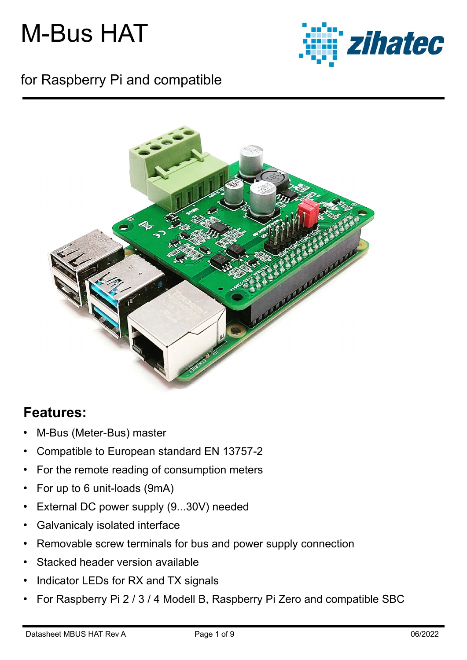

### for Raspberry Pi and compatible



### **Features:**

- M-Bus (Meter-Bus) master
- Compatible to European standard EN 13757-2
- For the remote reading of consumption meters
- For up to 6 unit-loads (9mA)
- External DC power supply (9...30V) needed
- Galvanicaly isolated interface
- Removable screw terminals for bus and power supply connection
- Stacked header version available
- Indicator LEDs for RX and TX signals
- For Raspberry Pi 2 / 3 / 4 Modell B, Raspberry Pi Zero and compatible SBC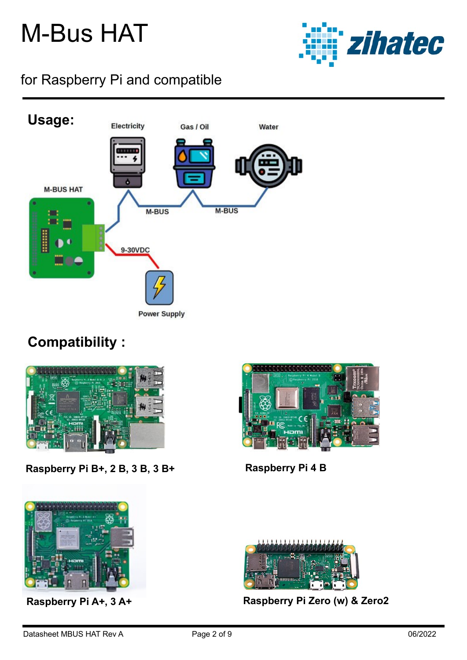![](_page_1_Picture_1.jpeg)

### for Raspberry Pi and compatible

![](_page_1_Figure_3.jpeg)

### **Compatibility :**

![](_page_1_Picture_5.jpeg)

**Raspberry Pi B+, 2 B, 3 B, 3 B+ Raspberry Pi 4 B**

![](_page_1_Picture_7.jpeg)

![](_page_1_Picture_9.jpeg)

![](_page_1_Picture_11.jpeg)

**Raspberry Pi A+, 3 A+ Raspberry Pi Zero (w) & Zero2**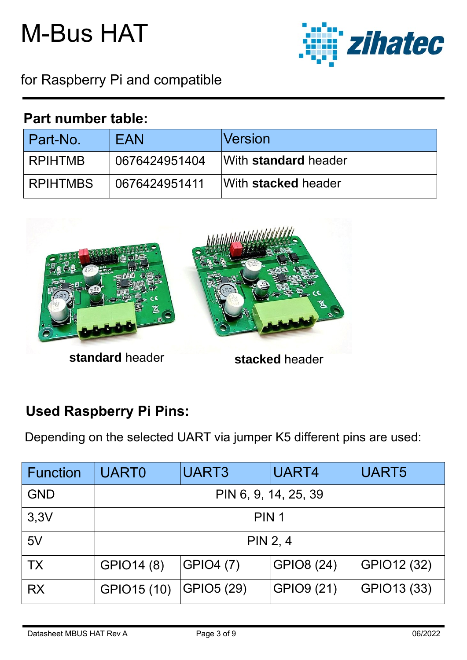![](_page_2_Picture_1.jpeg)

for Raspberry Pi and compatible

#### **Part number table:**

| Part-No.        | <b>FAN</b>    | <b>Version</b>       |
|-----------------|---------------|----------------------|
| <b>RPIHTMB</b>  | 0676424951404 | With standard header |
| <b>RPIHTMBS</b> | 0676424951411 | With stacked header  |

![](_page_2_Picture_5.jpeg)

**standard header stacked header** 

### **Used Raspberry Pi Pins:**

Depending on the selected UART via jumper K5 different pins are used:

| <b>Function</b> | <b>UART0</b>         | UART3            | UART4             | UART5       |  |
|-----------------|----------------------|------------------|-------------------|-------------|--|
| <b>GND</b>      | PIN 6, 9, 14, 25, 39 |                  |                   |             |  |
| 3,3V            | PIN <sub>1</sub>     |                  |                   |             |  |
| 5V              | PIN 2, 4             |                  |                   |             |  |
| <b>TX</b>       | GPIO14 (8)           | <b>GPIO4 (7)</b> | <b>GPIO8 (24)</b> | GPIO12 (32) |  |
| <b>RX</b>       | GPIO15 (10)          | GPIO5 (29)       | GPIO9 (21)        | GPIO13 (33) |  |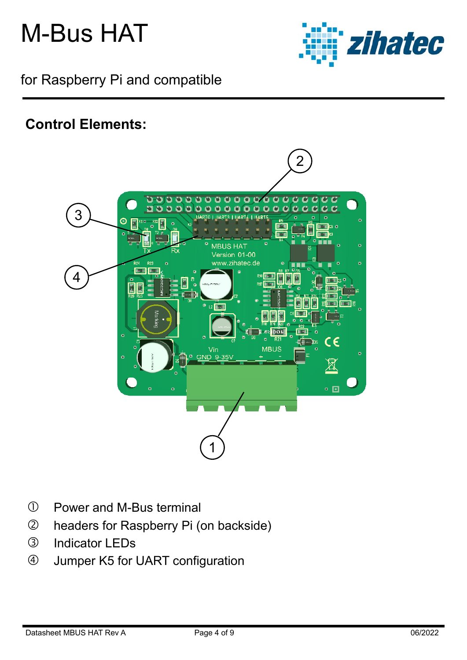![](_page_3_Picture_1.jpeg)

for Raspberry Pi and compatible

### **Control Elements:**

![](_page_3_Picture_4.jpeg)

- Power and M-Bus terminal
- headers for Raspberry Pi (on backside)
- Indicator LEDs
- Jumper K5 for UART configuration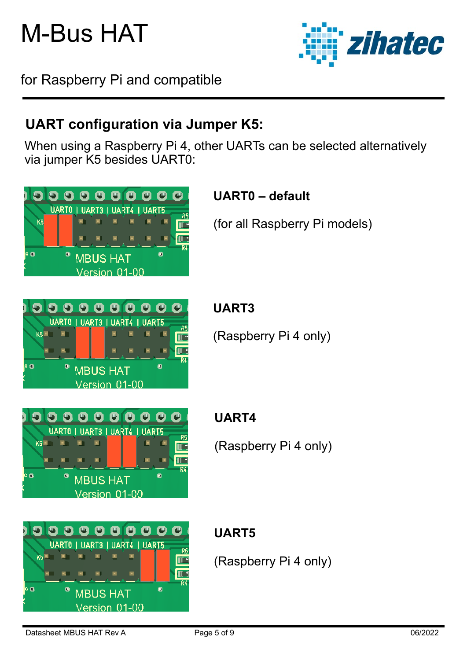zihatec

for Raspberry Pi and compatible

## **UART configuration via Jumper K5:**

When using a Raspberry Pi 4, other UARTs can be selected alternatively via jumper K5 besides UART0:

![](_page_4_Figure_5.jpeg)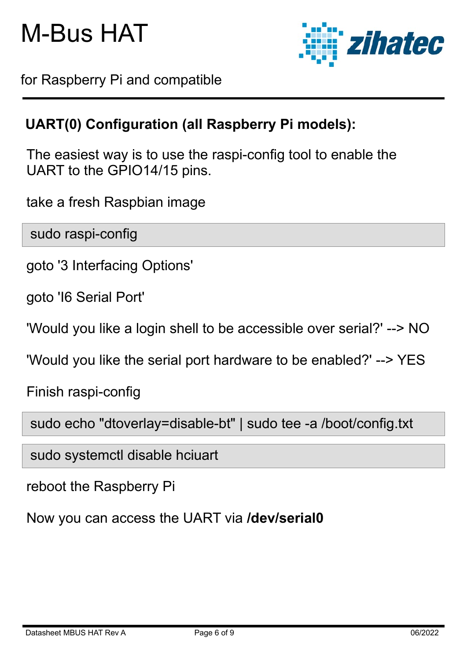![](_page_5_Picture_1.jpeg)

for Raspberry Pi and compatible

### **UART(0) Configuration (all Raspberry Pi models):**

The easiest way is to use the raspi-config tool to enable the UART to the GPIO14/15 pins.

take a fresh Raspbian image

sudo raspi-config

goto '3 Interfacing Options'

goto 'I6 Serial Port'

'Would you like a login shell to be accessible over serial?' --> NO

'Would you like the serial port hardware to be enabled?' --> YES

Finish raspi-config

sudo echo "dtoverlay=disable-bt" | sudo tee -a /boot/config.txt

sudo systemctl disable hciuart

reboot the Raspberry Pi

Now you can access the UART via **/dev/serial0**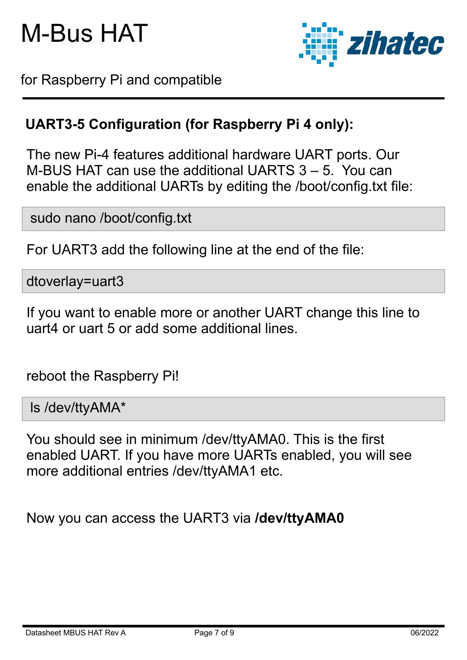![](_page_6_Picture_1.jpeg)

for Raspberry Pi and compatible

### **UART3-5 Configuration (for Raspberry Pi 4 only):**

The new Pi-4 features additional hardware UART ports. Our M-BUS HAT can use the additional UARTS 3 – 5. You can enable the additional UARTs by editing the /boot/config.txt file:

sudo nano /boot/config.txt

For UART3 add the following line at the end of the file:

dtoverlay=uart3

If you want to enable more or another UART change this line to uart4 or uart 5 or add some additional lines.

reboot the Raspberry Pi!

ls /dev/ttyAMA\*

You should see in minimum /dev/ttyAMA0. This is the first enabled UART. If you have more UARTs enabled, you will see more additional entries /dev/ttyAMA1 etc.

Now you can access the UART3 via **/dev/ttyAMA0**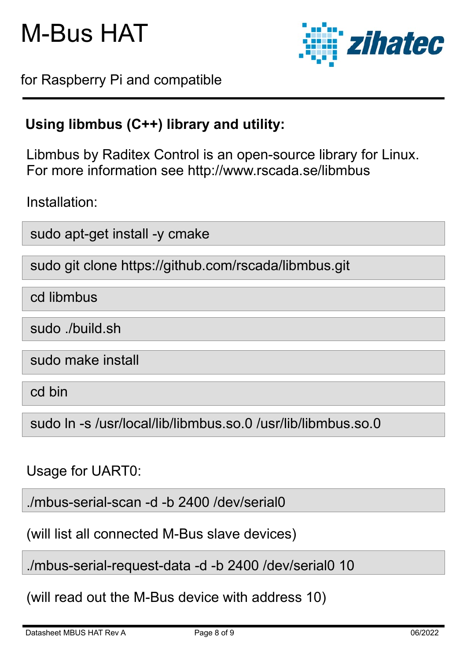![](_page_7_Picture_1.jpeg)

for Raspberry Pi and compatible

### **Using libmbus (C++) library and utility:**

Libmbus by Raditex Control is an open-source library for Linux. For more information see http://www.rscada.se/libmbus

Installation:

sudo apt-get install -y cmake

sudo git clone https://github.com/rscada/libmbus.git

cd libmbus

sudo ./build.sh

sudo make install

cd bin

sudo ln -s /usr/local/lib/libmbus.so.0 /usr/lib/libmbus.so.0

#### Usage for UART0:

./mbus-serial-scan -d -b 2400 /dev/serial0

(will list all connected M-Bus slave devices)

./mbus-serial-request-data -d -b 2400 /dev/serial0 10

(will read out the M-Bus device with address 10)